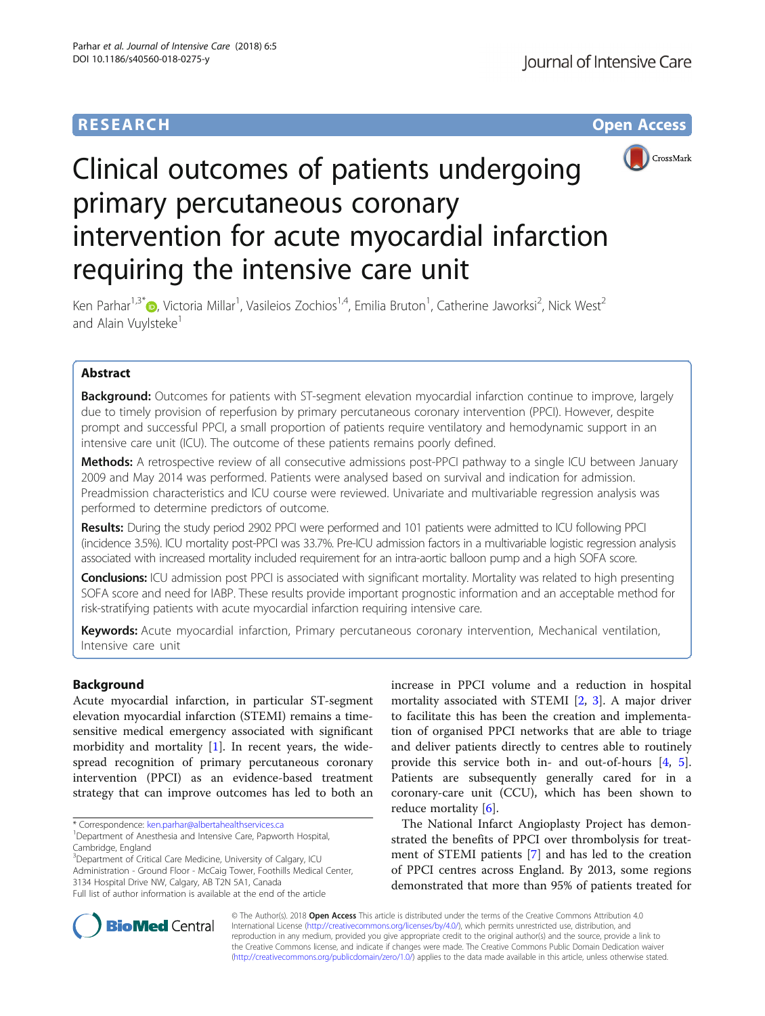# **RESEARCH CHE Open Access**



# Clinical outcomes of patients undergoing primary percutaneous coronary intervention for acute myocardial infarction requiring the intensive care unit

Ken Parhar<sup>1,3\*</sup>®, Victoria Millar<sup>1</sup>, Vasileios Zochios<sup>1,4</sup>, Emilia Bruton<sup>1</sup>, Catherine Jaworksi<sup>2</sup>, Nick West<sup>2</sup> and Alain Vuylsteke<sup>1</sup>

# Abstract

**Background:** Outcomes for patients with ST-segment elevation myocardial infarction continue to improve, largely due to timely provision of reperfusion by primary percutaneous coronary intervention (PPCI). However, despite prompt and successful PPCI, a small proportion of patients require ventilatory and hemodynamic support in an intensive care unit (ICU). The outcome of these patients remains poorly defined.

Methods: A retrospective review of all consecutive admissions post-PPCI pathway to a single ICU between January 2009 and May 2014 was performed. Patients were analysed based on survival and indication for admission. Preadmission characteristics and ICU course were reviewed. Univariate and multivariable regression analysis was performed to determine predictors of outcome.

Results: During the study period 2902 PPCI were performed and 101 patients were admitted to ICU following PPCI (incidence 3.5%). ICU mortality post-PPCI was 33.7%. Pre-ICU admission factors in a multivariable logistic regression analysis associated with increased mortality included requirement for an intra-aortic balloon pump and a high SOFA score.

Conclusions: ICU admission post PPCI is associated with significant mortality. Mortality was related to high presenting SOFA score and need for IABP. These results provide important prognostic information and an acceptable method for risk-stratifying patients with acute myocardial infarction requiring intensive care.

Keywords: Acute myocardial infarction, Primary percutaneous coronary intervention, Mechanical ventilation, Intensive care unit

# Background

Acute myocardial infarction, in particular ST-segment elevation myocardial infarction (STEMI) remains a timesensitive medical emergency associated with significant morbidity and mortality  $[1]$  $[1]$ . In recent years, the widespread recognition of primary percutaneous coronary intervention (PPCI) as an evidence-based treatment strategy that can improve outcomes has led to both an

<sup>3</sup>Department of Critical Care Medicine, University of Calgary, ICU Administration - Ground Floor - McCaig Tower, Foothills Medical Center, 3134 Hospital Drive NW, Calgary, AB T2N 5A1, Canada Full list of author information is available at the end of the article

increase in PPCI volume and a reduction in hospital mortality associated with STEMI [\[2](#page-8-0), [3](#page-8-0)]. A major driver to facilitate this has been the creation and implementation of organised PPCI networks that are able to triage and deliver patients directly to centres able to routinely provide this service both in- and out-of-hours [[4,](#page-8-0) [5](#page-8-0)]. Patients are subsequently generally cared for in a coronary-care unit (CCU), which has been shown to reduce mortality [\[6](#page-8-0)].

The National Infarct Angioplasty Project has demonstrated the benefits of PPCI over thrombolysis for treatment of STEMI patients [\[7](#page-8-0)] and has led to the creation of PPCI centres across England. By 2013, some regions demonstrated that more than 95% of patients treated for



© The Author(s). 2018 Open Access This article is distributed under the terms of the Creative Commons Attribution 4.0 International License [\(http://creativecommons.org/licenses/by/4.0/](http://creativecommons.org/licenses/by/4.0/)), which permits unrestricted use, distribution, and reproduction in any medium, provided you give appropriate credit to the original author(s) and the source, provide a link to the Creative Commons license, and indicate if changes were made. The Creative Commons Public Domain Dedication waiver [\(http://creativecommons.org/publicdomain/zero/1.0/](http://creativecommons.org/publicdomain/zero/1.0/)) applies to the data made available in this article, unless otherwise stated.

<sup>\*</sup> Correspondence: [ken.parhar@albertahealthservices.ca](mailto:ken.parhar@albertahealthservices.ca) <sup>1</sup>

<sup>&</sup>lt;sup>1</sup>Department of Anesthesia and Intensive Care, Papworth Hospital, Cambridge, England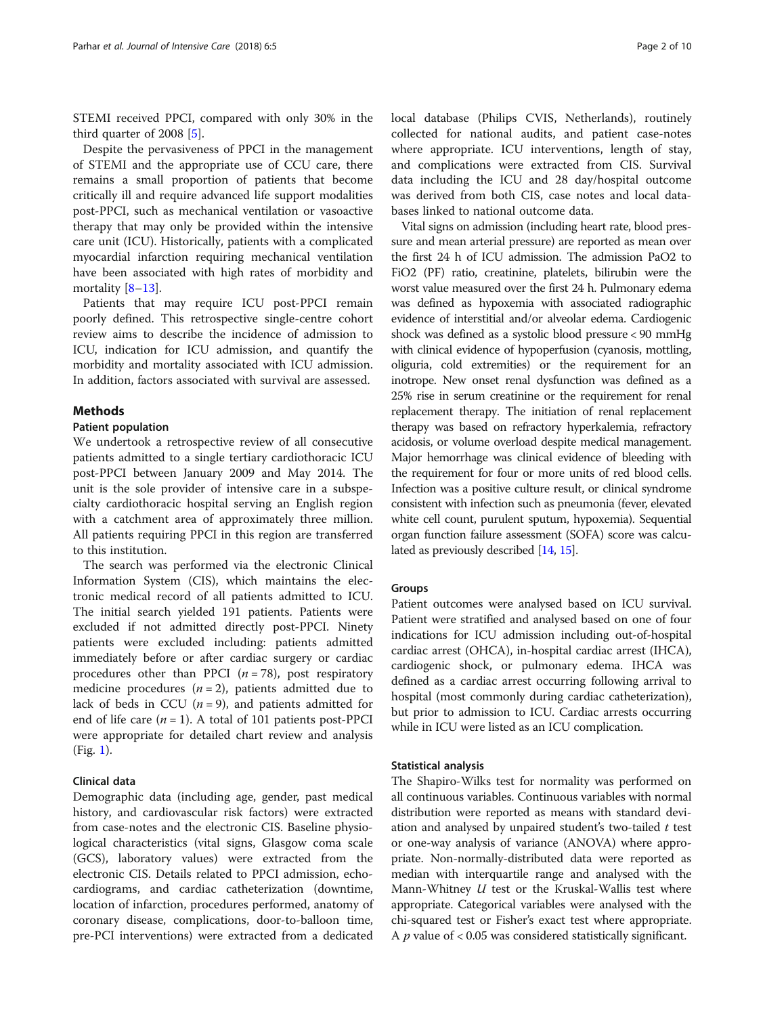STEMI received PPCI, compared with only 30% in the third quarter of 2008 [\[5\]](#page-8-0).

Despite the pervasiveness of PPCI in the management of STEMI and the appropriate use of CCU care, there remains a small proportion of patients that become critically ill and require advanced life support modalities post-PPCI, such as mechanical ventilation or vasoactive therapy that may only be provided within the intensive care unit (ICU). Historically, patients with a complicated myocardial infarction requiring mechanical ventilation have been associated with high rates of morbidity and mortality  $[8-13]$  $[8-13]$  $[8-13]$  $[8-13]$ .

Patients that may require ICU post-PPCI remain poorly defined. This retrospective single-centre cohort review aims to describe the incidence of admission to ICU, indication for ICU admission, and quantify the morbidity and mortality associated with ICU admission. In addition, factors associated with survival are assessed.

# **Methods**

## Patient population

We undertook a retrospective review of all consecutive patients admitted to a single tertiary cardiothoracic ICU post-PPCI between January 2009 and May 2014. The unit is the sole provider of intensive care in a subspecialty cardiothoracic hospital serving an English region with a catchment area of approximately three million. All patients requiring PPCI in this region are transferred to this institution.

The search was performed via the electronic Clinical Information System (CIS), which maintains the electronic medical record of all patients admitted to ICU. The initial search yielded 191 patients. Patients were excluded if not admitted directly post-PPCI. Ninety patients were excluded including: patients admitted immediately before or after cardiac surgery or cardiac procedures other than PPCI  $(n = 78)$ , post respiratory medicine procedures  $(n = 2)$ , patients admitted due to lack of beds in CCU  $(n = 9)$ , and patients admitted for end of life care  $(n = 1)$ . A total of 101 patients post-PPCI were appropriate for detailed chart review and analysis (Fig. [1](#page-2-0)).

#### Clinical data

Demographic data (including age, gender, past medical history, and cardiovascular risk factors) were extracted from case-notes and the electronic CIS. Baseline physiological characteristics (vital signs, Glasgow coma scale (GCS), laboratory values) were extracted from the electronic CIS. Details related to PPCI admission, echocardiograms, and cardiac catheterization (downtime, location of infarction, procedures performed, anatomy of coronary disease, complications, door-to-balloon time, pre-PCI interventions) were extracted from a dedicated local database (Philips CVIS, Netherlands), routinely collected for national audits, and patient case-notes where appropriate. ICU interventions, length of stay, and complications were extracted from CIS. Survival data including the ICU and 28 day/hospital outcome was derived from both CIS, case notes and local databases linked to national outcome data.

Vital signs on admission (including heart rate, blood pressure and mean arterial pressure) are reported as mean over the first 24 h of ICU admission. The admission PaO2 to FiO2 (PF) ratio, creatinine, platelets, bilirubin were the worst value measured over the first 24 h. Pulmonary edema was defined as hypoxemia with associated radiographic evidence of interstitial and/or alveolar edema. Cardiogenic shock was defined as a systolic blood pressure < 90 mmHg with clinical evidence of hypoperfusion (cyanosis, mottling, oliguria, cold extremities) or the requirement for an inotrope. New onset renal dysfunction was defined as a 25% rise in serum creatinine or the requirement for renal replacement therapy. The initiation of renal replacement therapy was based on refractory hyperkalemia, refractory acidosis, or volume overload despite medical management. Major hemorrhage was clinical evidence of bleeding with the requirement for four or more units of red blood cells. Infection was a positive culture result, or clinical syndrome consistent with infection such as pneumonia (fever, elevated white cell count, purulent sputum, hypoxemia). Sequential organ function failure assessment (SOFA) score was calculated as previously described [[14](#page-8-0), [15](#page-8-0)].

#### Groups

Patient outcomes were analysed based on ICU survival. Patient were stratified and analysed based on one of four indications for ICU admission including out-of-hospital cardiac arrest (OHCA), in-hospital cardiac arrest (IHCA), cardiogenic shock, or pulmonary edema. IHCA was defined as a cardiac arrest occurring following arrival to hospital (most commonly during cardiac catheterization), but prior to admission to ICU. Cardiac arrests occurring while in ICU were listed as an ICU complication.

#### Statistical analysis

The Shapiro-Wilks test for normality was performed on all continuous variables. Continuous variables with normal distribution were reported as means with standard deviation and analysed by unpaired student's two-tailed  $t$  test or one-way analysis of variance (ANOVA) where appropriate. Non-normally-distributed data were reported as median with interquartile range and analysed with the Mann-Whitney U test or the Kruskal-Wallis test where appropriate. Categorical variables were analysed with the chi-squared test or Fisher's exact test where appropriate. A  $p$  value of  $< 0.05$  was considered statistically significant.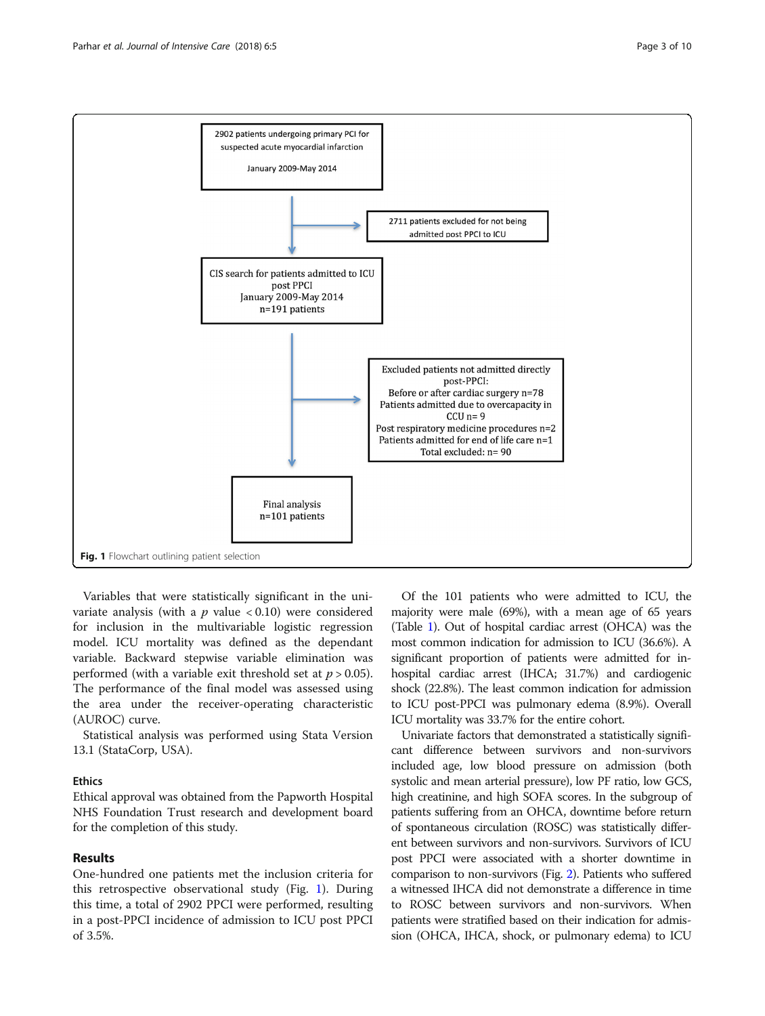<span id="page-2-0"></span>

Variables that were statistically significant in the univariate analysis (with a  $p$  value < 0.10) were considered for inclusion in the multivariable logistic regression model. ICU mortality was defined as the dependant variable. Backward stepwise variable elimination was performed (with a variable exit threshold set at  $p > 0.05$ ). The performance of the final model was assessed using the area under the receiver-operating characteristic (AUROC) curve.

Statistical analysis was performed using Stata Version 13.1 (StataCorp, USA).

# Ethics

Ethical approval was obtained from the Papworth Hospital NHS Foundation Trust research and development board for the completion of this study.

# Results

One-hundred one patients met the inclusion criteria for this retrospective observational study (Fig. 1). During this time, a total of 2902 PPCI were performed, resulting in a post-PPCI incidence of admission to ICU post PPCI of 3.5%.

Of the 101 patients who were admitted to ICU, the majority were male (69%), with a mean age of 65 years (Table [1\)](#page-3-0). Out of hospital cardiac arrest (OHCA) was the most common indication for admission to ICU (36.6%). A significant proportion of patients were admitted for inhospital cardiac arrest (IHCA; 31.7%) and cardiogenic shock (22.8%). The least common indication for admission to ICU post-PPCI was pulmonary edema (8.9%). Overall ICU mortality was 33.7% for the entire cohort.

Univariate factors that demonstrated a statistically significant difference between survivors and non-survivors included age, low blood pressure on admission (both systolic and mean arterial pressure), low PF ratio, low GCS, high creatinine, and high SOFA scores. In the subgroup of patients suffering from an OHCA, downtime before return of spontaneous circulation (ROSC) was statistically different between survivors and non-survivors. Survivors of ICU post PPCI were associated with a shorter downtime in comparison to non-survivors (Fig. [2](#page-4-0)). Patients who suffered a witnessed IHCA did not demonstrate a difference in time to ROSC between survivors and non-survivors. When patients were stratified based on their indication for admission (OHCA, IHCA, shock, or pulmonary edema) to ICU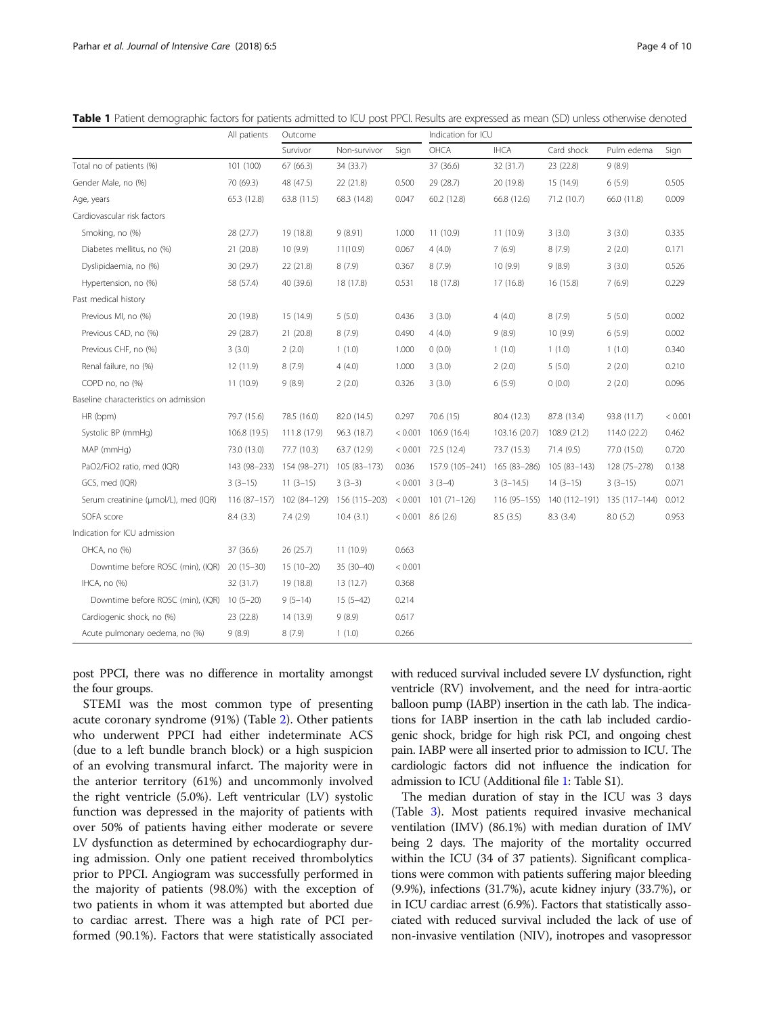|                                       | All patients | Outcome      |               |         | Indication for ICU  |               |               |               |         |
|---------------------------------------|--------------|--------------|---------------|---------|---------------------|---------------|---------------|---------------|---------|
|                                       |              | Survivor     | Non-survivor  | Sign    | OHCA                | <b>IHCA</b>   | Card shock    | Pulm edema    | Sign    |
| Total no of patients (%)              | 101 (100)    | 67 (66.3)    | 34 (33.7)     |         | 37 (36.6)           | 32 (31.7)     | 23 (22.8)     | 9(8.9)        |         |
| Gender Male, no (%)                   | 70 (69.3)    | 48 (47.5)    | 22 (21.8)     | 0.500   | 29 (28.7)           | 20 (19.8)     | 15 (14.9)     | 6(5.9)        | 0.505   |
| Age, years                            | 65.3 (12.8)  | 63.8 (11.5)  | 68.3 (14.8)   | 0.047   | 60.2 (12.8)         | 66.8 (12.6)   | 71.2 (10.7)   | 66.0 (11.8)   | 0.009   |
| Cardiovascular risk factors           |              |              |               |         |                     |               |               |               |         |
| Smoking, no (%)                       | 28 (27.7)    | 19 (18.8)    | 9(8.91)       | 1.000   | 11(10.9)            | 11(10.9)      | 3(3.0)        | 3(3.0)        | 0.335   |
| Diabetes mellitus, no (%)             | 21 (20.8)    | 10(9.9)      | 11(10.9)      | 0.067   | 4(4.0)              | 7(6.9)        | 8(7.9)        | 2(2.0)        | 0.171   |
| Dyslipidaemia, no (%)                 | 30 (29.7)    | 22 (21.8)    | 8(7.9)        | 0.367   | 8(7.9)              | 10(9.9)       | 9(8.9)        | 3(3.0)        | 0.526   |
| Hypertension, no (%)                  | 58 (57.4)    | 40 (39.6)    | 18 (17.8)     | 0.531   | 18 (17.8)           | 17 (16.8)     | 16 (15.8)     | 7(6.9)        | 0.229   |
| Past medical history                  |              |              |               |         |                     |               |               |               |         |
| Previous MI, no (%)                   | 20 (19.8)    | 15 (14.9)    | 5(5.0)        | 0.436   | 3(3.0)              | 4(4.0)        | 8(7.9)        | 5(5.0)        | 0.002   |
| Previous CAD, no (%)                  | 29 (28.7)    | 21 (20.8)    | 8(7.9)        | 0.490   | 4(4.0)              | 9(8.9)        | 10(9.9)       | 6(5.9)        | 0.002   |
| Previous CHF, no (%)                  | 3(3.0)       | 2(2.0)       | 1(1.0)        | 1.000   | 0(0.0)              | 1(1.0)        | 1(1.0)        | 1(1.0)        | 0.340   |
| Renal failure, no (%)                 | 12 (11.9)    | 8(7.9)       | 4(4.0)        | 1.000   | 3(3.0)              | 2(2.0)        | 5(5.0)        | 2(2.0)        | 0.210   |
| COPD no, no (%)                       | 11 (10.9)    | 9(8.9)       | 2(2.0)        | 0.326   | 3(3.0)              | 6(5.9)        | 0(0.0)        | 2(2.0)        | 0.096   |
| Baseline characteristics on admission |              |              |               |         |                     |               |               |               |         |
| HR (bpm)                              | 79.7 (15.6)  | 78.5 (16.0)  | 82.0 (14.5)   | 0.297   | 70.6 (15)           | 80.4 (12.3)   | 87.8 (13.4)   | 93.8 (11.7)   | < 0.001 |
| Systolic BP (mmHg)                    | 106.8 (19.5) | 111.8 (17.9) | 96.3 (18.7)   | < 0.001 | 106.9 (16.4)        | 103.16 (20.7) | 108.9 (21.2)  | 114.0 (22.2)  | 0.462   |
| MAP (mmHg)                            | 73.0 (13.0)  | 77.7 (10.3)  | 63.7 (12.9)   | < 0.001 | 72.5 (12.4)         | 73.7 (15.3)   | 71.4 (9.5)    | 77.0 (15.0)   | 0.720   |
| PaO2/FiO2 ratio, med (IQR)            | 143 (98-233) | 154 (98-271) | 105 (83-173)  | 0.036   | 157.9 (105-241)     | 165 (83-286)  | $105(83-143)$ | 128 (75-278)  | 0.138   |
| GCS, med (IQR)                        | $3(3-15)$    | $11(3-15)$   | $3(3-3)$      |         | $< 0.001$ 3 (3-4)   | $3(3-14.5)$   | $14(3-15)$    | $3(3-15)$     | 0.071   |
| Serum creatinine (µmol/L), med (IQR)  | 116 (87-157) | 102 (84-129) | 156 (115-203) | < 0.001 | $101(71 - 126)$     | $116(95-155)$ | 140 (112-191) | 135 (117-144) | 0.012   |
| SOFA score                            | 8.4(3.3)     | 7.4(2.9)     | 10.4(3.1)     |         | $< 0.001$ 8.6 (2.6) | 8.5(3.5)      | 8.3(3.4)      | 8.0(5.2)      | 0.953   |
| Indication for ICU admission          |              |              |               |         |                     |               |               |               |         |
| OHCA, no (%)                          | 37 (36.6)    | 26(25.7)     | 11(10.9)      | 0.663   |                     |               |               |               |         |
| Downtime before ROSC (min), (IQR)     | $20(15-30)$  | $15(10-20)$  | 35 (30-40)    | < 0.001 |                     |               |               |               |         |
| IHCA, no (%)                          | 32 (31.7)    | 19 (18.8)    | 13 (12.7)     | 0.368   |                     |               |               |               |         |
| Downtime before ROSC (min), (IQR)     | $10(5-20)$   | $9(5-14)$    | $15(5-42)$    | 0.214   |                     |               |               |               |         |
| Cardiogenic shock, no (%)             | 23 (22.8)    | 14 (13.9)    | 9(8.9)        | 0.617   |                     |               |               |               |         |
| Acute pulmonary oedema, no (%)        | 9(8.9)       | 8(7.9)       | 1(1.0)        | 0.266   |                     |               |               |               |         |

<span id="page-3-0"></span>Table 1 Patient demographic factors for patients admitted to ICU post PPCI. Results are expressed as mean (SD) unless otherwise denoted

post PPCI, there was no difference in mortality amongst the four groups.

STEMI was the most common type of presenting acute coronary syndrome (91%) (Table [2\)](#page-4-0). Other patients who underwent PPCI had either indeterminate ACS (due to a left bundle branch block) or a high suspicion of an evolving transmural infarct. The majority were in the anterior territory (61%) and uncommonly involved the right ventricle (5.0%). Left ventricular (LV) systolic function was depressed in the majority of patients with over 50% of patients having either moderate or severe LV dysfunction as determined by echocardiography during admission. Only one patient received thrombolytics prior to PPCI. Angiogram was successfully performed in the majority of patients (98.0%) with the exception of two patients in whom it was attempted but aborted due to cardiac arrest. There was a high rate of PCI performed (90.1%). Factors that were statistically associated with reduced survival included severe LV dysfunction, right ventricle (RV) involvement, and the need for intra-aortic balloon pump (IABP) insertion in the cath lab. The indications for IABP insertion in the cath lab included cardiogenic shock, bridge for high risk PCI, and ongoing chest pain. IABP were all inserted prior to admission to ICU. The cardiologic factors did not influence the indication for admission to ICU (Additional file [1](#page-7-0): Table S1).

The median duration of stay in the ICU was 3 days (Table [3](#page-5-0)). Most patients required invasive mechanical ventilation (IMV) (86.1%) with median duration of IMV being 2 days. The majority of the mortality occurred within the ICU (34 of 37 patients). Significant complications were common with patients suffering major bleeding (9.9%), infections (31.7%), acute kidney injury (33.7%), or in ICU cardiac arrest (6.9%). Factors that statistically associated with reduced survival included the lack of use of non-invasive ventilation (NIV), inotropes and vasopressor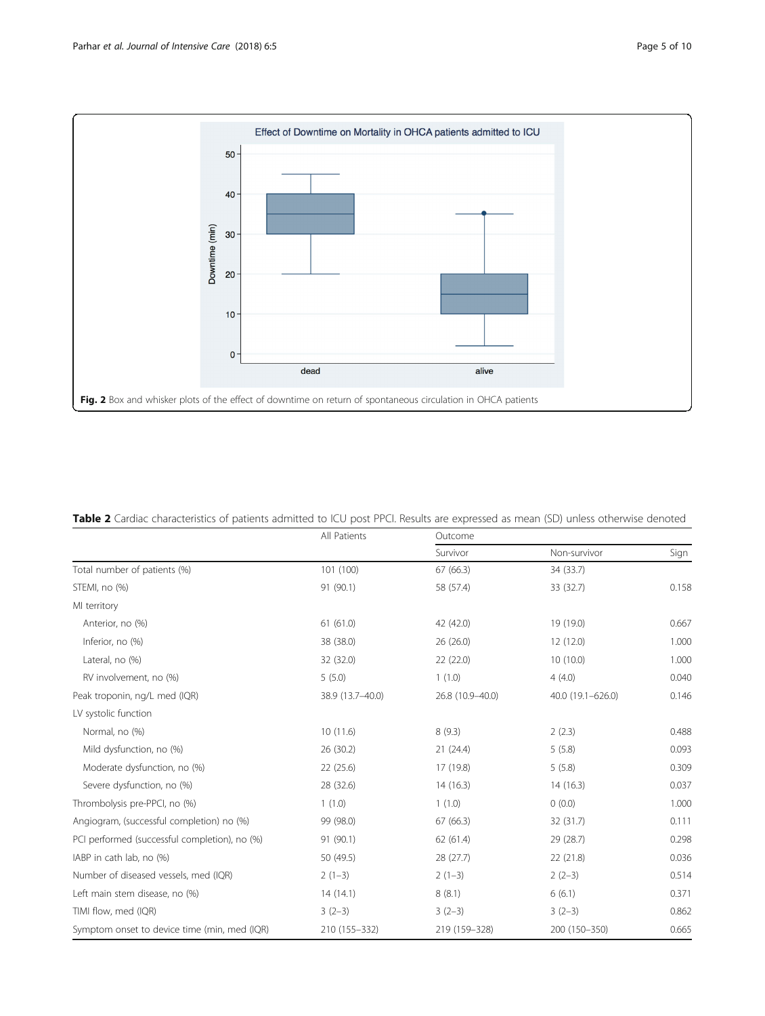<span id="page-4-0"></span>

| Table 2 Cardiac characteristics of patients admitted to ICU post PPCI. Results are expressed as mean (SD) unless otherwise denoted |  |
|------------------------------------------------------------------------------------------------------------------------------------|--|
|------------------------------------------------------------------------------------------------------------------------------------|--|

|                                               | All Patients     | Outcome          |                   |       |  |  |
|-----------------------------------------------|------------------|------------------|-------------------|-------|--|--|
|                                               |                  | Survivor         | Non-survivor      | Sign  |  |  |
| Total number of patients (%)                  | 101 (100)        | 67 (66.3)        | 34 (33.7)         |       |  |  |
| STEMI, no (%)                                 | 91 (90.1)        | 58 (57.4)        | 33 (32.7)         | 0.158 |  |  |
| MI territory                                  |                  |                  |                   |       |  |  |
| Anterior, no (%)                              | 61(61.0)         | 42 (42.0)        | 19 (19.0)         | 0.667 |  |  |
| Inferior, no (%)                              | 38 (38.0)        | 26 (26.0)        | 12 (12.0)         | 1.000 |  |  |
| Lateral, no (%)                               | 32 (32.0)        | 22(22.0)         | 10(10.0)          | 1.000 |  |  |
| RV involvement, no (%)                        | 5(5.0)           | 1(1.0)           | 4(4.0)            | 0.040 |  |  |
| Peak troponin, ng/L med (IQR)                 | 38.9 (13.7-40.0) | 26.8 (10.9-40.0) | 40.0 (19.1-626.0) | 0.146 |  |  |
| LV systolic function                          |                  |                  |                   |       |  |  |
| Normal, no (%)                                | 10(11.6)         | 8(9.3)           | 2(2.3)            | 0.488 |  |  |
| Mild dysfunction, no (%)                      | 26 (30.2)        | 21(24.4)         | 5(5.8)            | 0.093 |  |  |
| Moderate dysfunction, no (%)                  | 22 (25.6)        | 17 (19.8)        | 5(5.8)            | 0.309 |  |  |
| Severe dysfunction, no (%)                    | 28 (32.6)        | 14(16.3)         | 14(16.3)          | 0.037 |  |  |
| Thrombolysis pre-PPCI, no (%)                 | 1(1.0)           | 1(1.0)           | 0(0.0)            | 1.000 |  |  |
| Angiogram, (successful completion) no (%)     | 99 (98.0)        | 67 (66.3)        | 32 (31.7)         | 0.111 |  |  |
| PCI performed (successful completion), no (%) | 91 (90.1)        | 62(61.4)         | 29 (28.7)         | 0.298 |  |  |
| IABP in cath lab, no (%)                      | 50 (49.5)        | 28 (27.7)        | 22(21.8)          | 0.036 |  |  |
| Number of diseased vessels, med (IQR)         | $2(1-3)$         | $2(1-3)$         | $2(2-3)$          | 0.514 |  |  |
| Left main stem disease, no (%)                | 14(14.1)         | 8(8.1)           | 6(6.1)            | 0.371 |  |  |
| TIMI flow, med (IQR)                          | $3(2-3)$         | $3(2-3)$         | $3(2-3)$          | 0.862 |  |  |
| Symptom onset to device time (min, med (IQR)  | 210 (155-332)    | 219 (159-328)    | 200 (150-350)     | 0.665 |  |  |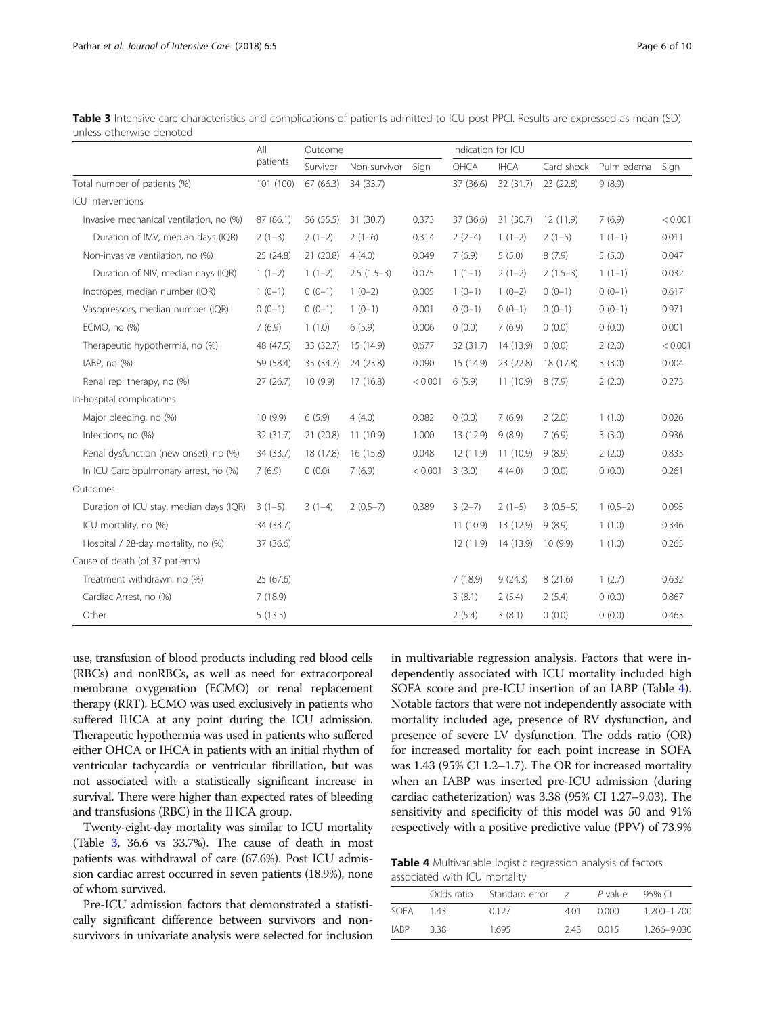<span id="page-5-0"></span>

| <b>Table 3</b> Intensive care characteristics and complications of patients admitted to ICU post PPCI. Results are expressed as mean (SD) |  |  |
|-------------------------------------------------------------------------------------------------------------------------------------------|--|--|
| unless otherwise denoted                                                                                                                  |  |  |

|                                         | All<br>patients | Outcome   |              |         | Indication for ICU |             |            |            |         |
|-----------------------------------------|-----------------|-----------|--------------|---------|--------------------|-------------|------------|------------|---------|
|                                         |                 | Survivor  | Non-survivor | Sign    | OHCA               | <b>IHCA</b> | Card shock | Pulm edema | Sign    |
| Total number of patients (%)            | 101 (100)       | 67(66.3)  | 34 (33.7)    |         | 37 (36.6)          | 32 (31.7)   | 23 (22.8)  | 9(8.9)     |         |
| ICU interventions                       |                 |           |              |         |                    |             |            |            |         |
| Invasive mechanical ventilation, no (%) | 87 (86.1)       | 56 (55.5) | 31 (30.7)    | 0.373   | 37 (36.6)          | 31 (30.7)   | 12(11.9)   | 7(6.9)     | < 0.001 |
| Duration of IMV, median days (IQR)      | $2(1-3)$        | $2(1-2)$  | $2(1-6)$     | 0.314   | $2(2-4)$           | $1(1-2)$    | $2(1-5)$   | $1(1-1)$   | 0.011   |
| Non-invasive ventilation, no (%)        | 25 (24.8)       | 21(20.8)  | 4(4.0)       | 0.049   | 7(6.9)             | 5(5.0)      | 8(7.9)     | 5(5.0)     | 0.047   |
| Duration of NIV, median days (IQR)      | $1(1-2)$        | $1(1-2)$  | $2.5(1.5-3)$ | 0.075   | $1(1-1)$           | $2(1-2)$    | $2(1.5-3)$ | $1(1-1)$   | 0.032   |
| Inotropes, median number (IQR)          | $1(0-1)$        | $0(0-1)$  | $1(0-2)$     | 0.005   | $1(0-1)$           | $1(0-2)$    | $0(0-1)$   | $0(0-1)$   | 0.617   |
| Vasopressors, median number (IQR)       | $0(0-1)$        | $0(0-1)$  | $1(0-1)$     | 0.001   | $0(0-1)$           | $0(0-1)$    | $0(0-1)$   | $0(0-1)$   | 0.971   |
| ECMO, no (%)                            | 7(6.9)          | 1(1.0)    | 6(5.9)       | 0.006   | 0(0.0)             | 7(6.9)      | 0(0.0)     | 0(0.0)     | 0.001   |
| Therapeutic hypothermia, no (%)         | 48 (47.5)       | 33 (32.7) | 15 (14.9)    | 0.677   | 32 (31.7)          | 14 (13.9)   | 0(0.0)     | 2(2.0)     | < 0.001 |
| IABP, no (%)                            | 59 (58.4)       | 35 (34.7) | 24 (23.8)    | 0.090   | 15 (14.9)          | 23 (22.8)   | 18 (17.8)  | 3(3.0)     | 0.004   |
| Renal repl therapy, no (%)              | 27(26.7)        | 10(9.9)   | 17(16.8)     | < 0.001 | 6(5.9)             | 11(10.9)    | 8(7.9)     | 2(2.0)     | 0.273   |
| In-hospital complications               |                 |           |              |         |                    |             |            |            |         |
| Major bleeding, no (%)                  | 10(9.9)         | 6(5.9)    | 4(4.0)       | 0.082   | 0(0.0)             | 7(6.9)      | 2(2.0)     | 1(1.0)     | 0.026   |
| Infections, no (%)                      | 32 (31.7)       | 21(20.8)  | 11(10.9)     | 1.000   | 13 (12.9)          | 9(8.9)      | 7(6.9)     | 3(3.0)     | 0.936   |
| Renal dysfunction (new onset), no (%)   | 34 (33.7)       | 18 (17.8) | 16 (15.8)    | 0.048   | 12(11.9)           | 11(10.9)    | 9(8.9)     | 2(2.0)     | 0.833   |
| In ICU Cardiopulmonary arrest, no (%)   | 7(6.9)          | 0(0.0)    | 7(6.9)       | < 0.001 | 3(3.0)             | 4(4.0)      | 0(0.0)     | 0(0.0)     | 0.261   |
| Outcomes                                |                 |           |              |         |                    |             |            |            |         |
| Duration of ICU stay, median days (IQR) | $3(1-5)$        | $3(1-4)$  | $2(0.5-7)$   | 0.389   | $3(2-7)$           | $2(1-5)$    | $3(0.5-5)$ | $1(0.5-2)$ | 0.095   |
| ICU mortality, no (%)                   | 34 (33.7)       |           |              |         | 11(10.9)           | 13 (12.9)   | 9(8.9)     | 1(1.0)     | 0.346   |
| Hospital / 28-day mortality, no (%)     | 37 (36.6)       |           |              |         | 12(11.9)           | 14 (13.9)   | 10(9.9)    | 1(1.0)     | 0.265   |
| Cause of death (of 37 patients)         |                 |           |              |         |                    |             |            |            |         |
| Treatment withdrawn, no (%)             | 25(67.6)        |           |              |         | 7(18.9)            | 9(24.3)     | 8(21.6)    | 1(2.7)     | 0.632   |
| Cardiac Arrest, no (%)                  | 7(18.9)         |           |              |         | 3(8.1)             | 2(5.4)      | 2(5.4)     | 0(0.0)     | 0.867   |
| Other                                   | 5(13.5)         |           |              |         | 2(5.4)             | 3(8.1)      | 0(0.0)     | 0(0.0)     | 0.463   |

use, transfusion of blood products including red blood cells (RBCs) and nonRBCs, as well as need for extracorporeal membrane oxygenation (ECMO) or renal replacement therapy (RRT). ECMO was used exclusively in patients who suffered IHCA at any point during the ICU admission. Therapeutic hypothermia was used in patients who suffered either OHCA or IHCA in patients with an initial rhythm of ventricular tachycardia or ventricular fibrillation, but was not associated with a statistically significant increase in survival. There were higher than expected rates of bleeding and transfusions (RBC) in the IHCA group.

Twenty-eight-day mortality was similar to ICU mortality (Table 3, 36.6 vs 33.7%). The cause of death in most patients was withdrawal of care (67.6%). Post ICU admission cardiac arrest occurred in seven patients (18.9%), none of whom survived.

Pre-ICU admission factors that demonstrated a statistically significant difference between survivors and nonsurvivors in univariate analysis were selected for inclusion in multivariable regression analysis. Factors that were independently associated with ICU mortality included high SOFA score and pre-ICU insertion of an IABP (Table 4). Notable factors that were not independently associate with mortality included age, presence of RV dysfunction, and presence of severe LV dysfunction. The odds ratio (OR) for increased mortality for each point increase in SOFA was 1.43 (95% CI 1.2–1.7). The OR for increased mortality when an IABP was inserted pre-ICU admission (during cardiac catheterization) was 3.38 (95% CI 1.27–9.03). The sensitivity and specificity of this model was 50 and 91% respectively with a positive predictive value (PPV) of 73.9%

Table 4 Multivariable logistic regression analysis of factors associated with ICU mortality

|             | Odds ratio | Standard error | $\overline{z}$ | P value | 95% CI      |
|-------------|------------|----------------|----------------|---------|-------------|
|             |            |                |                |         |             |
| SOFA        | 143        | 0.127          | 401            | 0.000   | 1.200-1.700 |
| <b>IARP</b> | 338        | 1695           | 243            | 0015    | 1.266-9.030 |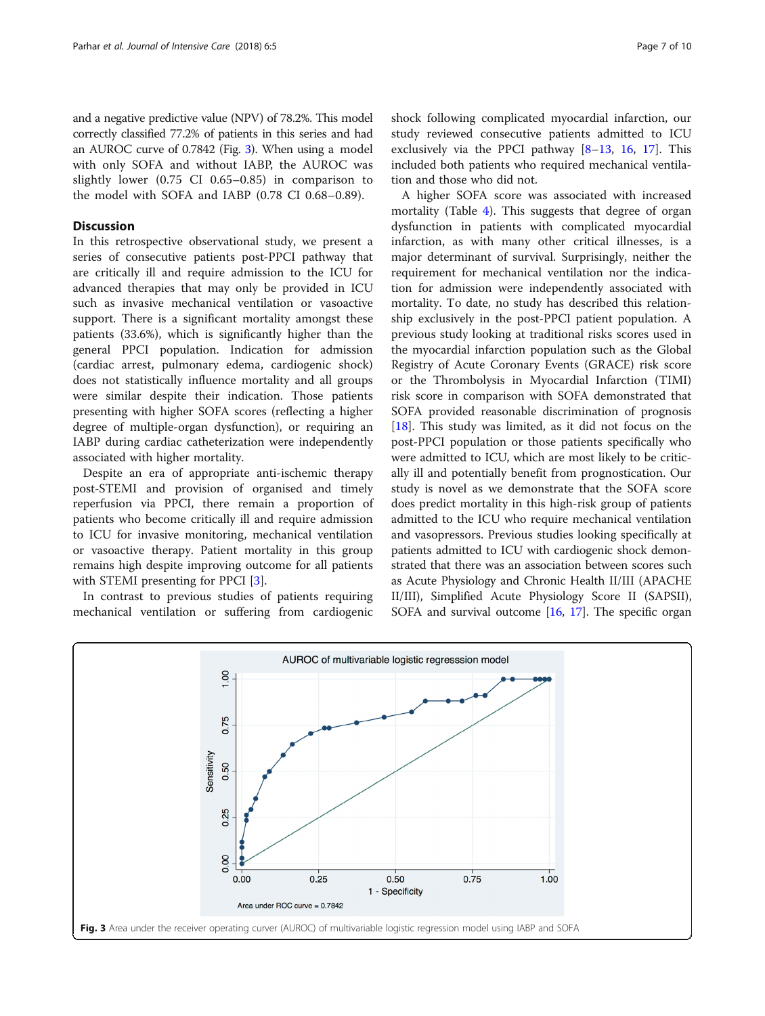and a negative predictive value (NPV) of 78.2%. This model correctly classified 77.2% of patients in this series and had an AUROC curve of 0.7842 (Fig. 3). When using a model with only SOFA and without IABP, the AUROC was slightly lower (0.75 CI 0.65–0.85) in comparison to the model with SOFA and IABP (0.78 CI 0.68–0.89).

# Discussion

In this retrospective observational study, we present a series of consecutive patients post-PPCI pathway that are critically ill and require admission to the ICU for advanced therapies that may only be provided in ICU such as invasive mechanical ventilation or vasoactive support. There is a significant mortality amongst these patients (33.6%), which is significantly higher than the general PPCI population. Indication for admission (cardiac arrest, pulmonary edema, cardiogenic shock) does not statistically influence mortality and all groups were similar despite their indication. Those patients presenting with higher SOFA scores (reflecting a higher degree of multiple-organ dysfunction), or requiring an IABP during cardiac catheterization were independently associated with higher mortality.

Despite an era of appropriate anti-ischemic therapy post-STEMI and provision of organised and timely reperfusion via PPCI, there remain a proportion of patients who become critically ill and require admission to ICU for invasive monitoring, mechanical ventilation or vasoactive therapy. Patient mortality in this group remains high despite improving outcome for all patients with STEMI presenting for PPCI [[3\]](#page-8-0).

In contrast to previous studies of patients requiring mechanical ventilation or suffering from cardiogenic shock following complicated myocardial infarction, our study reviewed consecutive patients admitted to ICU exclusively via the PPCI pathway [[8](#page-8-0)–[13](#page-8-0), [16](#page-8-0), [17](#page-8-0)]. This included both patients who required mechanical ventilation and those who did not.

A higher SOFA score was associated with increased mortality (Table [4\)](#page-5-0). This suggests that degree of organ dysfunction in patients with complicated myocardial infarction, as with many other critical illnesses, is a major determinant of survival. Surprisingly, neither the requirement for mechanical ventilation nor the indication for admission were independently associated with mortality. To date, no study has described this relationship exclusively in the post-PPCI patient population. A previous study looking at traditional risks scores used in the myocardial infarction population such as the Global Registry of Acute Coronary Events (GRACE) risk score or the Thrombolysis in Myocardial Infarction (TIMI) risk score in comparison with SOFA demonstrated that SOFA provided reasonable discrimination of prognosis [[18\]](#page-8-0). This study was limited, as it did not focus on the post-PPCI population or those patients specifically who were admitted to ICU, which are most likely to be critically ill and potentially benefit from prognostication. Our study is novel as we demonstrate that the SOFA score does predict mortality in this high-risk group of patients admitted to the ICU who require mechanical ventilation and vasopressors. Previous studies looking specifically at patients admitted to ICU with cardiogenic shock demonstrated that there was an association between scores such as Acute Physiology and Chronic Health II/III (APACHE II/III), Simplified Acute Physiology Score II (SAPSII), SOFA and survival outcome [\[16,](#page-8-0) [17](#page-8-0)]. The specific organ

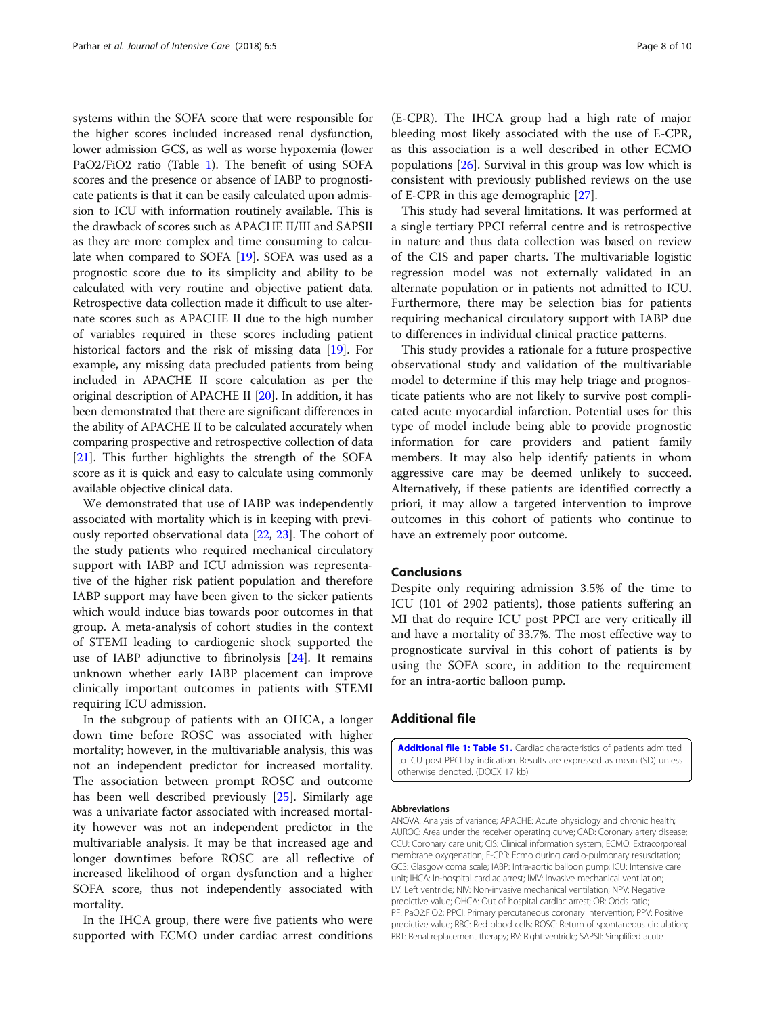<span id="page-7-0"></span>systems within the SOFA score that were responsible for the higher scores included increased renal dysfunction, lower admission GCS, as well as worse hypoxemia (lower PaO2/FiO2 ratio (Table [1\)](#page-3-0). The benefit of using SOFA scores and the presence or absence of IABP to prognosticate patients is that it can be easily calculated upon admission to ICU with information routinely available. This is the drawback of scores such as APACHE II/III and SAPSII as they are more complex and time consuming to calcu-late when compared to SOFA [[19](#page-8-0)]. SOFA was used as a prognostic score due to its simplicity and ability to be calculated with very routine and objective patient data. Retrospective data collection made it difficult to use alternate scores such as APACHE II due to the high number of variables required in these scores including patient historical factors and the risk of missing data [\[19](#page-8-0)]. For example, any missing data precluded patients from being included in APACHE II score calculation as per the original description of APACHE II [\[20](#page-8-0)]. In addition, it has been demonstrated that there are significant differences in the ability of APACHE II to be calculated accurately when comparing prospective and retrospective collection of data [[21](#page-8-0)]. This further highlights the strength of the SOFA score as it is quick and easy to calculate using commonly available objective clinical data.

We demonstrated that use of IABP was independently associated with mortality which is in keeping with previously reported observational data [[22,](#page-8-0) [23\]](#page-8-0). The cohort of the study patients who required mechanical circulatory support with IABP and ICU admission was representative of the higher risk patient population and therefore IABP support may have been given to the sicker patients which would induce bias towards poor outcomes in that group. A meta-analysis of cohort studies in the context of STEMI leading to cardiogenic shock supported the use of IABP adjunctive to fibrinolysis [[24\]](#page-9-0). It remains unknown whether early IABP placement can improve clinically important outcomes in patients with STEMI requiring ICU admission.

In the subgroup of patients with an OHCA, a longer down time before ROSC was associated with higher mortality; however, in the multivariable analysis, this was not an independent predictor for increased mortality. The association between prompt ROSC and outcome has been well described previously [[25](#page-9-0)]. Similarly age was a univariate factor associated with increased mortality however was not an independent predictor in the multivariable analysis. It may be that increased age and longer downtimes before ROSC are all reflective of increased likelihood of organ dysfunction and a higher SOFA score, thus not independently associated with mortality.

In the IHCA group, there were five patients who were supported with ECMO under cardiac arrest conditions

(E-CPR). The IHCA group had a high rate of major bleeding most likely associated with the use of E-CPR, as this association is a well described in other ECMO populations  $[26]$  $[26]$ . Survival in this group was low which is consistent with previously published reviews on the use of E-CPR in this age demographic [\[27](#page-9-0)].

This study had several limitations. It was performed at a single tertiary PPCI referral centre and is retrospective in nature and thus data collection was based on review of the CIS and paper charts. The multivariable logistic regression model was not externally validated in an alternate population or in patients not admitted to ICU. Furthermore, there may be selection bias for patients requiring mechanical circulatory support with IABP due to differences in individual clinical practice patterns.

This study provides a rationale for a future prospective observational study and validation of the multivariable model to determine if this may help triage and prognosticate patients who are not likely to survive post complicated acute myocardial infarction. Potential uses for this type of model include being able to provide prognostic information for care providers and patient family members. It may also help identify patients in whom aggressive care may be deemed unlikely to succeed. Alternatively, if these patients are identified correctly a priori, it may allow a targeted intervention to improve outcomes in this cohort of patients who continue to have an extremely poor outcome.

## Conclusions

Despite only requiring admission 3.5% of the time to ICU (101 of 2902 patients), those patients suffering an MI that do require ICU post PPCI are very critically ill and have a mortality of 33.7%. The most effective way to prognosticate survival in this cohort of patients is by using the SOFA score, in addition to the requirement for an intra-aortic balloon pump.

# Additional file

[Additional file 1: Table S1.](dx.doi.org/10.1186/s40560-018-0275-y) Cardiac characteristics of patients admitted to ICU post PPCI by indication. Results are expressed as mean (SD) unless otherwise denoted. (DOCX 17 kb)

### Abbreviations

ANOVA: Analysis of variance; APACHE: Acute physiology and chronic health; AUROC: Area under the receiver operating curve; CAD: Coronary artery disease; CCU: Coronary care unit; CIS: Clinical information system; ECMO: Extracorporeal membrane oxygenation; E-CPR: Ecmo during cardio-pulmonary resuscitation; GCS: Glasgow coma scale; IABP: Intra-aortic balloon pump; ICU: Intensive care unit; IHCA: In-hospital cardiac arrest; IMV: Invasive mechanical ventilation; LV: Left ventricle; NIV: Non-invasive mechanical ventilation; NPV: Negative predictive value; OHCA: Out of hospital cardiac arrest; OR: Odds ratio; PF: PaO2:FiO2; PPCI: Primary percutaneous coronary intervention; PPV: Positive predictive value; RBC: Red blood cells; ROSC: Return of spontaneous circulation; RRT: Renal replacement therapy; RV: Right ventricle; SAPSII: Simplified acute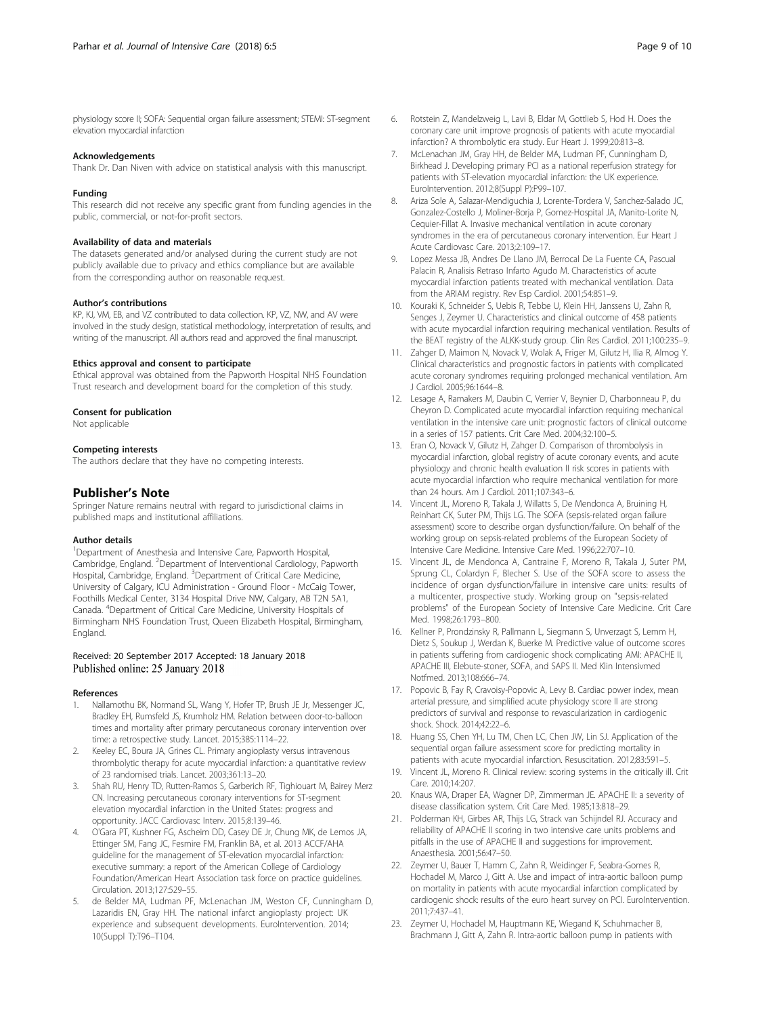<span id="page-8-0"></span>physiology score II; SOFA: Sequential organ failure assessment; STEMI: ST-segment elevation myocardial infarction

#### Acknowledgements

Thank Dr. Dan Niven with advice on statistical analysis with this manuscript.

#### Funding

This research did not receive any specific grant from funding agencies in the public, commercial, or not-for-profit sectors.

## Availability of data and materials

The datasets generated and/or analysed during the current study are not publicly available due to privacy and ethics compliance but are available from the corresponding author on reasonable request.

#### Author's contributions

KP, KJ, VM, EB, and VZ contributed to data collection. KP, VZ, NW, and AV were involved in the study design, statistical methodology, interpretation of results, and writing of the manuscript. All authors read and approved the final manuscript.

#### Ethics approval and consent to participate

Ethical approval was obtained from the Papworth Hospital NHS Foundation Trust research and development board for the completion of this study.

#### Consent for publication

Not applicable

#### Competing interests

The authors declare that they have no competing interests.

#### Publisher's Note

Springer Nature remains neutral with regard to jurisdictional claims in published maps and institutional affiliations.

#### Author details

<sup>1</sup>Department of Anesthesia and Intensive Care, Papworth Hospital, Cambridge, England. <sup>2</sup> Department of Interventional Cardiology, Papworth Hospital, Cambridge, England. <sup>3</sup>Department of Critical Care Medicine, University of Calgary, ICU Administration - Ground Floor - McCaig Tower, Foothills Medical Center, 3134 Hospital Drive NW, Calgary, AB T2N 5A1, Canada. <sup>4</sup> Department of Critical Care Medicine, University Hospitals of Birmingham NHS Foundation Trust, Queen Elizabeth Hospital, Birmingham, England.

## Received: 20 September 2017 Accepted: 18 January 2018 Published online: 25 January 2018

#### References

- 1. Nallamothu BK, Normand SL, Wang Y, Hofer TP, Brush JE Jr, Messenger JC, Bradley EH, Rumsfeld JS, Krumholz HM. Relation between door-to-balloon times and mortality after primary percutaneous coronary intervention over time: a retrospective study. Lancet. 2015;385:1114–22.
- 2. Keeley EC, Boura JA, Grines CL. Primary angioplasty versus intravenous thrombolytic therapy for acute myocardial infarction: a quantitative review of 23 randomised trials. Lancet. 2003;361:13–20.
- Shah RU, Henry TD, Rutten-Ramos S, Garberich RF, Tighiouart M, Bairey Merz CN. Increasing percutaneous coronary interventions for ST-segment elevation myocardial infarction in the United States: progress and opportunity. JACC Cardiovasc Interv. 2015;8:139–46.
- 4. O'Gara PT, Kushner FG, Ascheim DD, Casey DE Jr, Chung MK, de Lemos JA, Ettinger SM, Fang JC, Fesmire FM, Franklin BA, et al. 2013 ACCF/AHA guideline for the management of ST-elevation myocardial infarction: executive summary: a report of the American College of Cardiology Foundation/American Heart Association task force on practice guidelines. Circulation. 2013;127:529–55.
- de Belder MA, Ludman PF, McLenachan JM, Weston CF, Cunningham D, Lazaridis EN, Gray HH. The national infarct angioplasty project: UK experience and subsequent developments. EuroIntervention. 2014; 10(Suppl T):T96–T104.
- 6. Rotstein Z, Mandelzweig L, Lavi B, Eldar M, Gottlieb S, Hod H. Does the coronary care unit improve prognosis of patients with acute myocardial infarction? A thrombolytic era study. Eur Heart J. 1999;20:813–8.
- 7. McLenachan JM, Gray HH, de Belder MA, Ludman PF, Cunningham D, Birkhead J. Developing primary PCI as a national reperfusion strategy for patients with ST-elevation myocardial infarction: the UK experience. EuroIntervention. 2012;8(Suppl P):P99–107.
- 8. Ariza Sole A, Salazar-Mendiguchia J, Lorente-Tordera V, Sanchez-Salado JC, Gonzalez-Costello J, Moliner-Borja P, Gomez-Hospital JA, Manito-Lorite N, Cequier-Fillat A. Invasive mechanical ventilation in acute coronary syndromes in the era of percutaneous coronary intervention. Eur Heart J Acute Cardiovasc Care. 2013;2:109–17.
- 9. Lopez Messa JB, Andres De Llano JM, Berrocal De La Fuente CA, Pascual Palacin R, Analisis Retraso Infarto Agudo M. Characteristics of acute myocardial infarction patients treated with mechanical ventilation. Data from the ARIAM registry. Rev Esp Cardiol. 2001;54:851–9.
- 10. Kouraki K, Schneider S, Uebis R, Tebbe U, Klein HH, Janssens U, Zahn R, Senges J, Zeymer U. Characteristics and clinical outcome of 458 patients with acute myocardial infarction requiring mechanical ventilation. Results of the BEAT registry of the ALKK-study group. Clin Res Cardiol. 2011;100:235–9.
- 11. Zahger D, Maimon N, Novack V, Wolak A, Friger M, Gilutz H, Ilia R, Almog Y. Clinical characteristics and prognostic factors in patients with complicated acute coronary syndromes requiring prolonged mechanical ventilation. Am J Cardiol. 2005;96:1644–8.
- 12. Lesage A, Ramakers M, Daubin C, Verrier V, Beynier D, Charbonneau P, du Cheyron D. Complicated acute myocardial infarction requiring mechanical ventilation in the intensive care unit: prognostic factors of clinical outcome in a series of 157 patients. Crit Care Med. 2004;32:100–5.
- 13. Eran O, Novack V, Gilutz H, Zahger D. Comparison of thrombolysis in myocardial infarction, global registry of acute coronary events, and acute physiology and chronic health evaluation II risk scores in patients with acute myocardial infarction who require mechanical ventilation for more than 24 hours. Am J Cardiol. 2011;107:343–6.
- 14. Vincent JL, Moreno R, Takala J, Willatts S, De Mendonca A, Bruining H, Reinhart CK, Suter PM, Thijs LG. The SOFA (sepsis-related organ failure assessment) score to describe organ dysfunction/failure. On behalf of the working group on sepsis-related problems of the European Society of Intensive Care Medicine. Intensive Care Med. 1996;22:707–10.
- 15. Vincent JL, de Mendonca A, Cantraine F, Moreno R, Takala J, Suter PM, Sprung CL, Colardyn F, Blecher S. Use of the SOFA score to assess the incidence of organ dysfunction/failure in intensive care units: results of a multicenter, prospective study. Working group on "sepsis-related problems" of the European Society of Intensive Care Medicine. Crit Care Med. 1998;26:1793–800.
- 16. Kellner P, Prondzinsky R, Pallmann L, Siegmann S, Unverzagt S, Lemm H, Dietz S, Soukup J, Werdan K, Buerke M. Predictive value of outcome scores in patients suffering from cardiogenic shock complicating AMI: APACHE II, APACHE III, Elebute-stoner, SOFA, and SAPS II. Med Klin Intensivmed Notfmed. 2013;108:666–74.
- 17. Popovic B, Fay R, Cravoisy-Popovic A, Levy B. Cardiac power index, mean arterial pressure, and simplified acute physiology score II are strong predictors of survival and response to revascularization in cardiogenic shock. Shock. 2014;42:22–6.
- 18. Huang SS, Chen YH, Lu TM, Chen LC, Chen JW, Lin SJ. Application of the sequential organ failure assessment score for predicting mortality in patients with acute myocardial infarction. Resuscitation. 2012;83:591–5.
- 19. Vincent JL, Moreno R. Clinical review: scoring systems in the critically ill. Crit Care. 2010;14:207.
- 20. Knaus WA, Draper EA, Wagner DP, Zimmerman JE. APACHE II: a severity of disease classification system. Crit Care Med. 1985;13:818–29.
- 21. Polderman KH, Girbes AR, Thijs LG, Strack van Schijndel RJ. Accuracy and reliability of APACHE II scoring in two intensive care units problems and pitfalls in the use of APACHE II and suggestions for improvement. Anaesthesia. 2001;56:47–50.
- 22. Zeymer U, Bauer T, Hamm C, Zahn R, Weidinger F, Seabra-Gomes R, Hochadel M, Marco J, Gitt A. Use and impact of intra-aortic balloon pump on mortality in patients with acute myocardial infarction complicated by cardiogenic shock: results of the euro heart survey on PCI. EuroIntervention. 2011;7:437–41.
- 23. Zeymer U, Hochadel M, Hauptmann KE, Wiegand K, Schuhmacher B, Brachmann J, Gitt A, Zahn R. Intra-aortic balloon pump in patients with